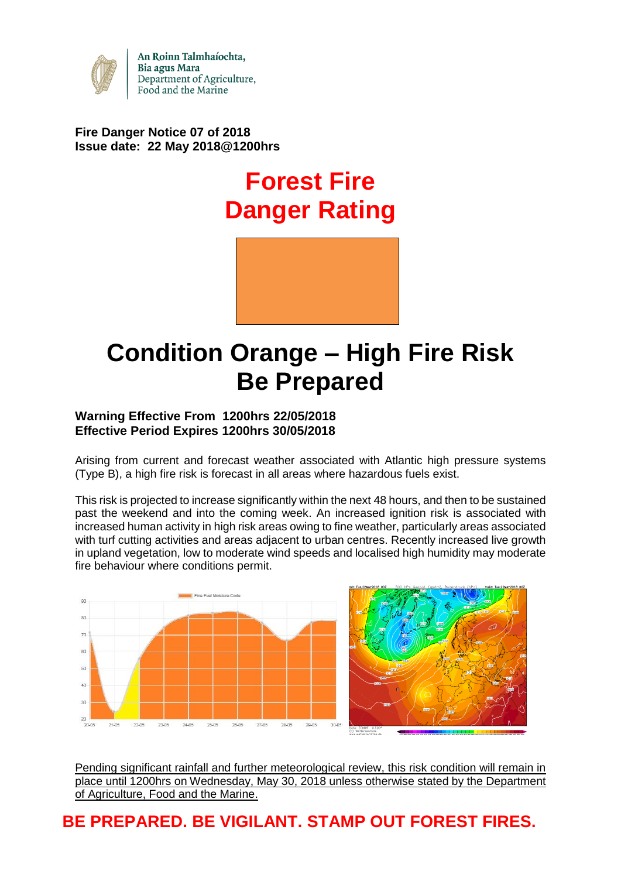

An Roinn Talmhaíochta, Bia agus Mara Department of Agriculture, Food and the Marine

## **Fire Danger Notice 07 of 2018 Issue date: 22 May 2018@1200hrs**

# **Forest Fire Danger Rating**



# **Condition Orange – High Fire Risk Be Prepared**

### **Warning Effective From 1200hrs 22/05/2018 Effective Period Expires 1200hrs 30/05/2018**

Arising from current and forecast weather associated with Atlantic high pressure systems (Type B), a high fire risk is forecast in all areas where hazardous fuels exist.

This risk is projected to increase significantly within the next 48 hours, and then to be sustained past the weekend and into the coming week. An increased ignition risk is associated with increased human activity in high risk areas owing to fine weather, particularly areas associated with turf cutting activities and areas adjacent to urban centres. Recently increased live growth in upland vegetation, low to moderate wind speeds and localised high humidity may moderate fire behaviour where conditions permit.



Pending significant rainfall and further meteorological review, this risk condition will remain in place until 1200hrs on Wednesday, May 30, 2018 unless otherwise stated by the Department of Agriculture, Food and the Marine.

# **BE PREPARED. BE VIGILANT. STAMP OUT FOREST FIRES.**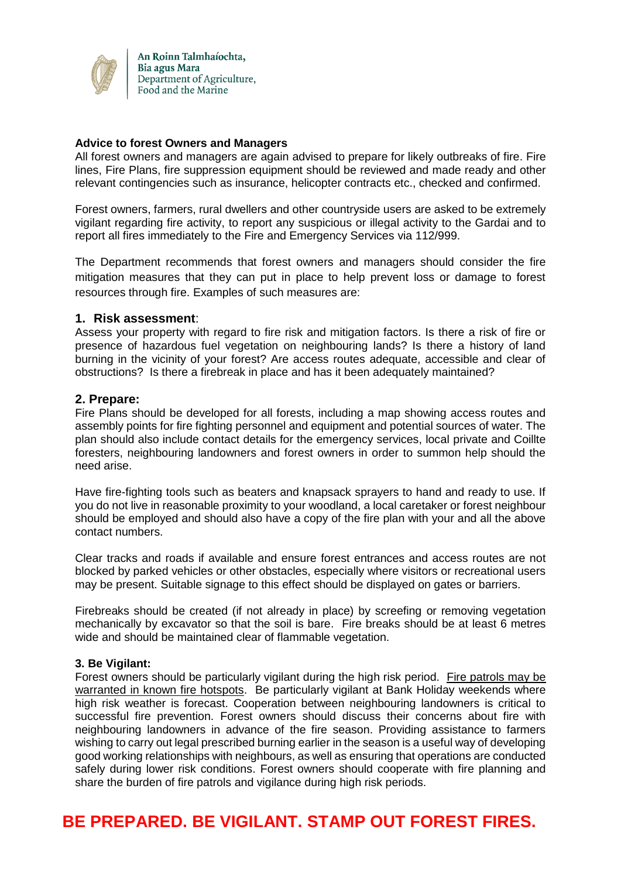

#### **Advice to forest Owners and Managers**

All forest owners and managers are again advised to prepare for likely outbreaks of fire. Fire lines, Fire Plans, fire suppression equipment should be reviewed and made ready and other relevant contingencies such as insurance, helicopter contracts etc., checked and confirmed.

Forest owners, farmers, rural dwellers and other countryside users are asked to be extremely vigilant regarding fire activity, to report any suspicious or illegal activity to the Gardai and to report all fires immediately to the Fire and Emergency Services via 112/999.

The Department recommends that forest owners and managers should consider the fire mitigation measures that they can put in place to help prevent loss or damage to forest resources through fire. Examples of such measures are:

#### **1. Risk assessment**:

Assess your property with regard to fire risk and mitigation factors. Is there a risk of fire or presence of hazardous fuel vegetation on neighbouring lands? Is there a history of land burning in the vicinity of your forest? Are access routes adequate, accessible and clear of obstructions? Is there a firebreak in place and has it been adequately maintained?

#### **2. Prepare:**

Fire Plans should be developed for all forests, including a map showing access routes and assembly points for fire fighting personnel and equipment and potential sources of water. The plan should also include contact details for the emergency services, local private and Coillte foresters, neighbouring landowners and forest owners in order to summon help should the need arise.

Have fire-fighting tools such as beaters and knapsack sprayers to hand and ready to use. If you do not live in reasonable proximity to your woodland, a local caretaker or forest neighbour should be employed and should also have a copy of the fire plan with your and all the above contact numbers.

Clear tracks and roads if available and ensure forest entrances and access routes are not blocked by parked vehicles or other obstacles, especially where visitors or recreational users may be present. Suitable signage to this effect should be displayed on gates or barriers.

Firebreaks should be created (if not already in place) by screefing or removing vegetation mechanically by excavator so that the soil is bare. Fire breaks should be at least 6 metres wide and should be maintained clear of flammable vegetation.

#### **3. Be Vigilant:**

Forest owners should be particularly vigilant during the high risk period. Fire patrols may be warranted in known fire hotspots. Be particularly vigilant at Bank Holiday weekends where high risk weather is forecast. Cooperation between neighbouring landowners is critical to successful fire prevention. Forest owners should discuss their concerns about fire with neighbouring landowners in advance of the fire season. Providing assistance to farmers wishing to carry out legal prescribed burning earlier in the season is a useful way of developing good working relationships with neighbours, as well as ensuring that operations are conducted safely during lower risk conditions. Forest owners should cooperate with fire planning and share the burden of fire patrols and vigilance during high risk periods.

# **BE PREPARED. BE VIGILANT. STAMP OUT FOREST FIRES.**